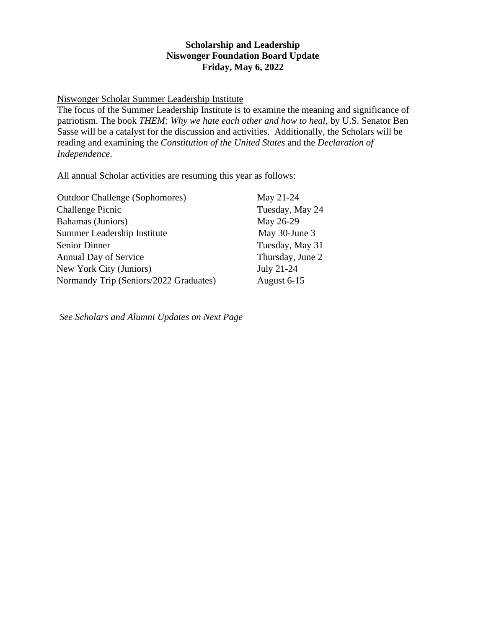## **Scholarship and Leadership Niswonger Foundation Board Update Friday, May 6, 2022**

## Niswonger Scholar Summer Leadership Institute

The focus of the Summer Leadership Institute is to examine the meaning and significance of patriotism. The book *THEM: Why we hate each other and how to heal*, by U.S. Senator Ben Sasse will be a catalyst for the discussion and activities. Additionally, the Scholars will be reading and examining the *Constitution of the United States* and the *Declaration of Independence*.

All annual Scholar activities are resuming this year as follows:

| <b>Outdoor Challenge (Sophomores)</b>  | May 21-24        |
|----------------------------------------|------------------|
| <b>Challenge Picnic</b>                | Tuesday, May 24  |
| Bahamas (Juniors)                      | May 26-29        |
| Summer Leadership Institute            | May 30-June 3    |
| <b>Senior Dinner</b>                   | Tuesday, May 31  |
| Annual Day of Service                  | Thursday, June 2 |
| New York City (Juniors)                | July 21-24       |
| Normandy Trip (Seniors/2022 Graduates) | August 6-15      |

*See Scholars and Alumni Updates on Next Page*